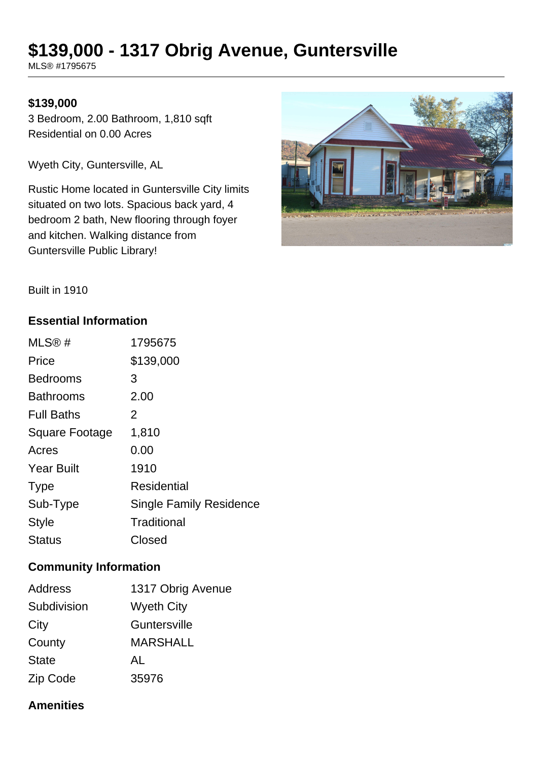# **\$139,000 - 1317 Obrig Avenue, Guntersville**

MLS® #1795675

## **\$139,000**

3 Bedroom, 2.00 Bathroom, 1,810 sqft Residential on 0.00 Acres

Wyeth City, Guntersville, AL

Rustic Home located in Guntersville City limits situated on two lots. Spacious back yard, 4 bedroom 2 bath, New flooring through foyer and kitchen. Walking distance from Guntersville Public Library!



Built in 1910

## **Essential Information**

| MLS@#                 | 1795675                        |
|-----------------------|--------------------------------|
| Price                 | \$139,000                      |
| <b>Bedrooms</b>       | 3                              |
| <b>Bathrooms</b>      | 2.00                           |
| <b>Full Baths</b>     | 2                              |
| <b>Square Footage</b> | 1,810                          |
| Acres                 | 0.00                           |
| <b>Year Built</b>     | 1910                           |
| <b>Type</b>           | Residential                    |
| Sub-Type              | <b>Single Family Residence</b> |
| <b>Style</b>          | Traditional                    |
| <b>Status</b>         | Closed                         |

## **Community Information**

| <b>Address</b> | 1317 Obrig Avenue |
|----------------|-------------------|
| Subdivision    | <b>Wyeth City</b> |
| City           | Guntersville      |
| County         | <b>MARSHALL</b>   |
| <b>State</b>   | AL                |
| Zip Code       | 35976             |

## **Amenities**